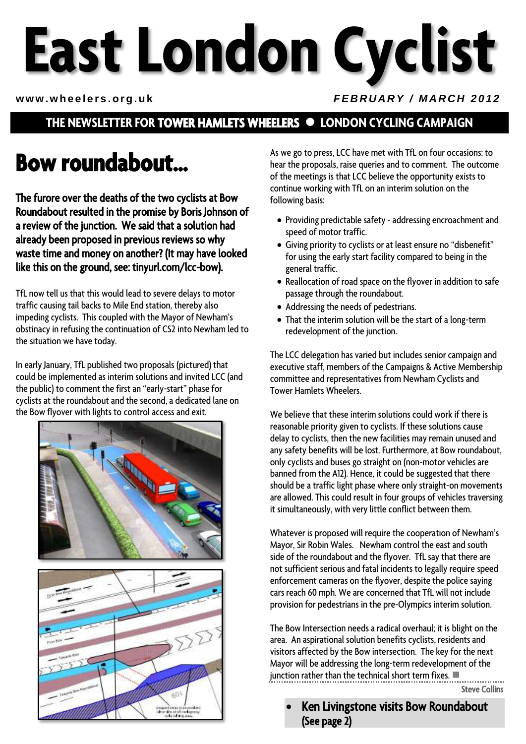# **East London Cyclist**

#### www.wheelers.org.uk *FEBRUARY / MARCH 2012*

## **THE NEWSLETTER FOR TOWER HAMLETS WHEELERS LONDON CYCLING CAMPAIGN**

# **Bow roundabout…**

The furore over the deaths of the two cyclists at Bow Roundabout resulted in the promise by Boris Johnson of a review of the junction. We said that a solution had already been proposed in previous reviews so why waste time and money on another? (It may have looked like this on the ground, see: tinyurl.com/lcc-bow).

TfL now tell us that this would lead to severe delays to motor traffic causing tail backs to Mile End station, thereby also impeding cyclists. This coupled with the Mayor of Newham's obstinacy in refusing the continuation of CS2 into Newham led to the situation we have today.

In early January, TfL published two proposals (pictured) that could be implemented as interim solutions and invited LCC (and the public) to comment the first an "early-start" phase for cyclists at the roundabout and the second, a dedicated lane on the Bow flyover with lights to control access and exit.





As we go to press, LCC have met with TfL on four occasions: to hear the proposals, raise queries and to comment. The outcome of the meetings is that LCC believe the opportunity exists to continue working with TfL on an interim solution on the following basis:

- Providing predictable safety addressing encroachment and speed of motor traffic.
- Giving priority to cyclists or at least ensure no "disbenefit" for using the early start facility compared to being in the general traffic.
- Reallocation of road space on the flyover in addition to safe passage through the roundabout.
- Addressing the needs of pedestrians.
- That the interim solution will be the start of a long-term redevelopment of the junction.

The LCC delegation has varied but includes senior campaign and executive staff, members of the Campaigns & Active Membership committee and representatives from Newham Cyclists and Tower Hamlets Wheelers.

We believe that these interim solutions could work if there is reasonable priority given to cyclists. If these solutions cause delay to cyclists, then the new facilities may remain unused and any safety benefits will be lost. Furthermore, at Bow roundabout, only cyclists and buses go straight on (non-motor vehicles are banned from the A12). Hence, it could be suggested that there should be a traffic light phase where only straight-on movements are allowed. This could result in four groups of vehicles traversing it simultaneously, with very little conflict between them.

Whatever is proposed will require the cooperation of Newham's Mayor, Sir Robin Wales. Newham control the east and south side of the roundabout and the flyover. TfL say that there are not sufficient serious and fatal incidents to legally require speed enforcement cameras on the flyover, despite the police saying cars reach 60 mph. We are concerned that TfL will not include provision for pedestrians in the pre-Olympics interim solution.

The Bow Intersection needs a radical overhaul; it is blight on the area. An aspirational solution benefits cyclists, residents and visitors affected by the Bow intersection. The key for the next Mayor will be addressing the long-term redevelopment of the junction rather than the technical short term fixes.

Steve Collins

 Ken Livingstone visits Bow Roundabout (See page 2)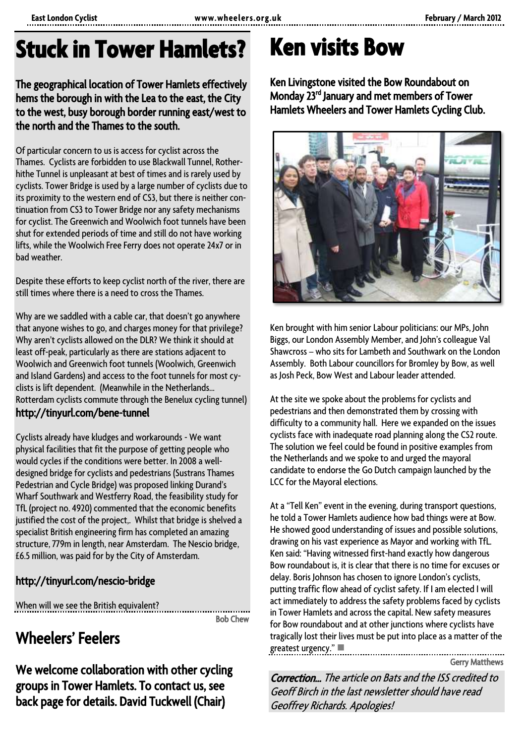# **Stuck in Tower Hamlets?**

#### The geographical location of Tower Hamlets effectively hems the borough in with the Lea to the east, the City to the west, busy borough border running east/west to the north and the Thames to the south.

Of particular concern to us is access for cyclist across the Thames. Cyclists are forbidden to use Blackwall Tunnel, Rotherhithe Tunnel is unpleasant at best of times and is rarely used by cyclists. Tower Bridge is used by a large number of cyclists due to its proximity to the western end of CS3, but there is neither continuation from CS3 to Tower Bridge nor any safety mechanisms for cyclist. The Greenwich and Woolwich foot tunnels have been shut for extended periods of time and still do not have working lifts, while the Woolwich Free Ferry does not operate 24x7 or in bad weather.

Despite these efforts to keep cyclist north of the river, there are still times where there is a need to cross the Thames.

Why are we saddled with a cable car, that doesn't go anywhere that anyone wishes to go, and charges money for that privilege? Why aren't cyclists allowed on the DLR? We think it should at least off-peak, particularly as there are stations adjacent to Woolwich and Greenwich foot tunnels (Woolwich, Greenwich and Island Gardens) and access to the foot tunnels for most cyclists is lift dependent. (Meanwhile in the Netherlands... Rotterdam cyclists commute through the Benelux cycling tunnel) http://tinyurl.com/bene-tunnel

Cyclists already have kludges and workarounds - We want physical facilities that fit the purpose of getting people who would cycles if the conditions were better. In 2008 a welldesigned bridge for cyclists and pedestrians (Sustrans Thames Pedestrian and Cycle Bridge) was proposed linking Durand's Wharf Southwark and Westferry Road, the feasibility study for TfL (project no. 4920) commented that the economic benefits justified the cost of the project,. Whilst that bridge is shelved a specialist British engineering firm has completed an amazing structure, 779m in length, near Amsterdam. The Nescio bridge, £6.5 million, was paid for by the City of Amsterdam.

### http://tinyurl.com/nescio-bridge

When will we see the British equivalent?

Bob Chew

# Wheelers' Feelers

We welcome collaboration with other cycling groups in Tower Hamlets. To contact us, see back page for details. David Tuckwell (Chair)

# **Ken visits Bow**

Ken Livingstone visited the Bow Roundabout on Monday 23<sup>rd</sup> January and met members of Tower Hamlets Wheelers and Tower Hamlets Cycling Club.



Ken brought with him senior Labour politicians: our MPs, John Biggs, our London Assembly Member, and John's colleague Val Shawcross – who sits for Lambeth and Southwark on the London Assembly. Both Labour councillors for Bromley by Bow, as well as Josh Peck, Bow West and Labour leader attended.

At the site we spoke about the problems for cyclists and pedestrians and then demonstrated them by crossing with difficulty to a community hall. Here we expanded on the issues cyclists face with inadequate road planning along the CS2 route. The solution we feel could be found in positive examples from the Netherlands and we spoke to and urged the mayoral candidate to endorse the Go Dutch campaign launched by the LCC for the Mayoral elections.

At a "Tell Ken" event in the evening, during transport questions, he told a Tower Hamlets audience how bad things were at Bow. He showed good understanding of issues and possible solutions, drawing on his vast experience as Mayor and working with TfL. Ken said: "Having witnessed first-hand exactly how dangerous Bow roundabout is, it is clear that there is no time for excuses or delay. Boris Johnson has chosen to ignore London's cyclists, putting traffic flow ahead of cyclist safety. If I am elected I will act immediately to address the safety problems faced by cyclists in Tower Hamlets and across the capital. New safety measures for Bow roundabout and at other junctions where cyclists have tragically lost their lives must be put into place as a matter of the greatest urgency."

Gerry Matthews

Correction… The article on Bats and the ISS credited to Geoff Birch in the last newsletter should have read Geoffrey Richards. Apologies!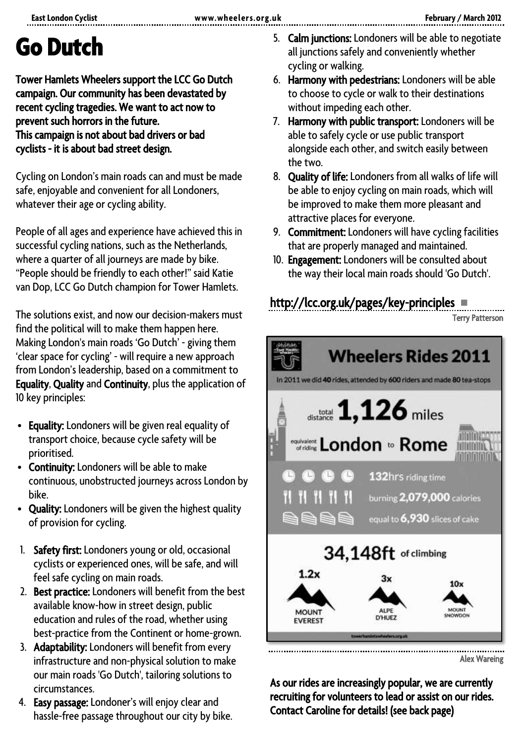# **Go Dutch**

Tower Hamlets Wheelers support the LCC Go Dutch campaign. Our community has been devastated by recent cycling tragedies. We want to act now to prevent such horrors in the future. This campaign is not about bad drivers or bad cyclists - it is about bad street design.

Cycling on London's main roads can and must be made safe, enjoyable and convenient for all Londoners, whatever their age or cycling ability.

People of all ages and experience have achieved this in successful cycling nations, such as the Netherlands, where a quarter of all journeys are made by bike. "People should be friendly to each other!" said Katie van Dop, LCC Go Dutch champion for Tower Hamlets.

The solutions exist, and now our decision-makers must find the political will to make them happen here. Making London's main roads 'Go Dutch' - giving them 'clear space for cycling' - will require a new approach from London's leadership, based on a commitment to Equality, Quality and Continuity, plus the application of 10 key principles:

- Equality: Londoners will be given real equality of transport choice, because cycle safety will be prioritised.
- Continuity: Londoners will be able to make continuous, unobstructed journeys across London by bike.
- Quality: Londoners will be given the highest quality of provision for cycling.
- 1. Safety first: Londoners young or old, occasional cyclists or experienced ones, will be safe, and will feel safe cycling on main roads.
- 2. Best practice: Londoners will benefit from the best available know-how in street design, public education and rules of the road, whether using best-practice from the Continent or home-grown.
- 3. Adaptability: Londoners will benefit from every infrastructure and non-physical solution to make our main roads 'Go Dutch', tailoring solutions to circumstances.
- 4. Easy passage: Londoner's will enjoy clear and hassle-free passage throughout our city by bike.
- 5. Calm junctions: Londoners will be able to negotiate all junctions safely and conveniently whether cycling or walking.
- 6. Harmony with pedestrians: Londoners will be able to choose to cycle or walk to their destinations without impeding each other.
- 7. Harmony with public transport: Londoners will be able to safely cycle or use public transport alongside each other, and switch easily between the two.
- 8. Quality of life: Londoners from all walks of life will be able to enjoy cycling on main roads, which will be improved to make them more pleasant and attractive places for everyone.
- 9. Commitment: Londoners will have cycling facilities that are properly managed and maintained.
- 10. Engagement: Londoners will be consulted about the way their local main roads should 'Go Dutch'.

## http://lcc.org.uk/pages/key-principles

Terry Patterson



Alex Wareing

As our rides are increasingly popular, we are currently recruiting for volunteers to lead or assist on our rides. Contact Caroline for details! (see back page)